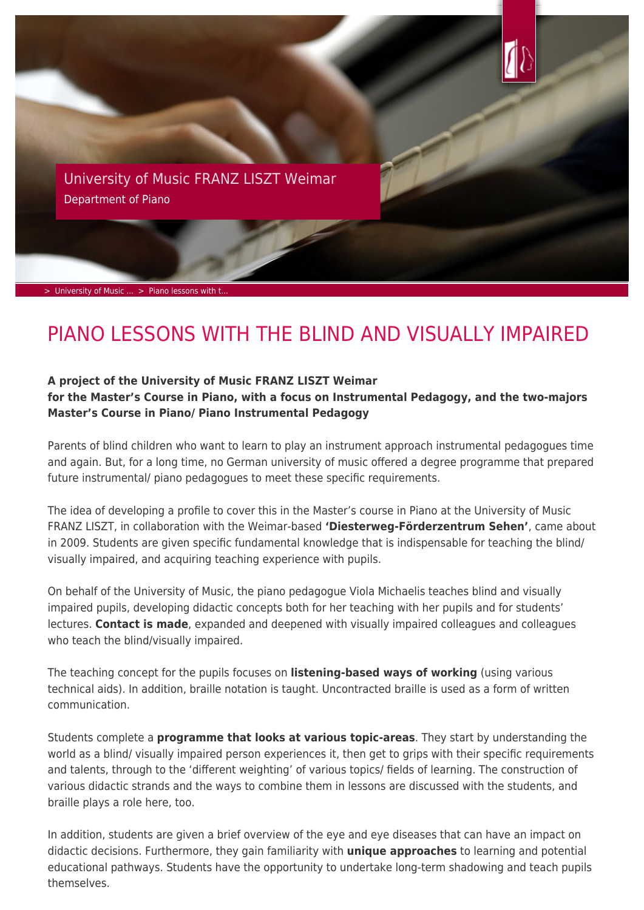

[University of Music FRANZ LISZT Weimar](https://www.hfm-weimar.de/?L=1) Department of Piano

 $>$  University of Music  $\ldots >$  Piano lessons with

## PIANO LESSONS WITH THE BLIND AND VISUALLY IMPAIRED

## **A project of the University of Music FRANZ LISZT Weimar**

**for the Master's Course in Piano, with a focus on Instrumental Pedagogy, and the two-majors Master's Course in Piano/ Piano Instrumental Pedagogy**

Parents of blind children who want to learn to play an instrument approach instrumental pedagogues time and again. But, for a long time, no German university of music offered a degree programme that prepared future instrumental/ piano pedagogues to meet these specific requirements.

The idea of developing a profile to cover this in the Master's course in Piano at the University of Music FRANZ LISZT, in collaboration with the Weimar-based **'Diesterweg-Förderzentrum Sehen'**, came about in 2009. Students are given specific fundamental knowledge that is indispensable for teaching the blind/ visually impaired, and acquiring teaching experience with pupils.

On behalf of the University of Music, the piano pedagogue Viola Michaelis teaches blind and visually impaired pupils, developing didactic concepts both for her teaching with her pupils and for students' lectures. **Contact is made**, expanded and deepened with visually impaired colleagues and colleagues who teach the blind/visually impaired.

The teaching concept for the pupils focuses on **listening-based ways of working** (using various technical aids). In addition, braille notation is taught. Uncontracted braille is used as a form of written communication.

Students complete a **programme that looks at various topic-areas**. They start by understanding the world as a blind/ visually impaired person experiences it, then get to grips with their specific requirements and talents, through to the 'different weighting' of various topics/ fields of learning. The construction of various didactic strands and the ways to combine them in lessons are discussed with the students, and braille plays a role here, too.

In addition, students are given a brief overview of the eye and eye diseases that can have an impact on didactic decisions. Furthermore, they gain familiarity with **unique approaches** to learning and potential educational pathways. Students have the opportunity to undertake long-term shadowing and teach pupils themselves.